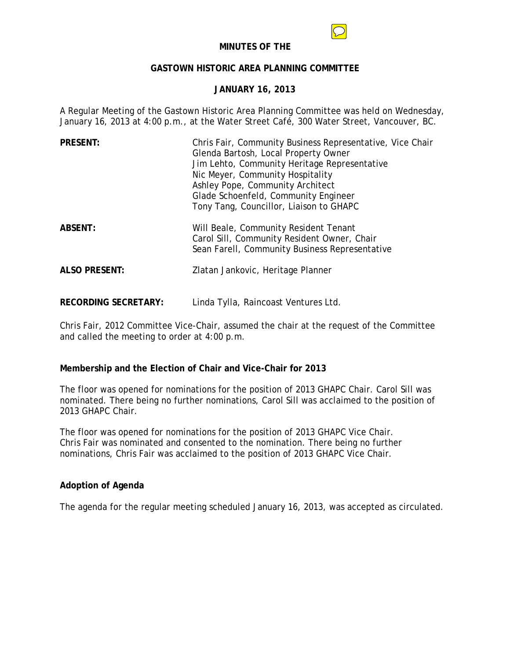

### **MINUTES OF THE**

# **GASTOWN HISTORIC AREA PLANNING COMMITTEE**

# **JANUARY 16, 2013**

A Regular Meeting of the Gastown Historic Area Planning Committee was held on Wednesday, January 16, 2013 at 4:00 p.m., at the Water Street Café, 300 Water Street, Vancouver, BC.

| <b>PRESENT:</b>      | Chris Fair, Community Business Representative, Vice Chair<br>Glenda Bartosh, Local Property Owner<br>Jim Lehto, Community Heritage Representative<br>Nic Meyer, Community Hospitality<br>Ashley Pope, Community Architect<br>Glade Schoenfeld, Community Engineer<br>Tony Tang, Councillor, Liaison to GHAPC |
|----------------------|--------------------------------------------------------------------------------------------------------------------------------------------------------------------------------------------------------------------------------------------------------------------------------------------------------------|
| <b>ABSENT:</b>       | Will Beale, Community Resident Tenant<br>Carol Sill, Community Resident Owner, Chair<br>Sean Farell, Community Business Representative                                                                                                                                                                       |
| <b>ALSO PRESENT:</b> | Zlatan Jankovic, Heritage Planner                                                                                                                                                                                                                                                                            |

**RECORDING SECRETARY:** Linda Tylla, Raincoast Ventures Ltd.

Chris Fair, 2012 Committee Vice-Chair, assumed the chair at the request of the Committee and called the meeting to order at 4:00 p.m.

# **Membership and the Election of Chair and Vice-Chair for 2013**

The floor was opened for nominations for the position of 2013 GHAPC Chair. Carol Sill was nominated. There being no further nominations, Carol Sill was acclaimed to the position of 2013 GHAPC Chair.

The floor was opened for nominations for the position of 2013 GHAPC Vice Chair. Chris Fair was nominated and consented to the nomination. There being no further nominations, Chris Fair was acclaimed to the position of 2013 GHAPC Vice Chair.

# **Adoption of Agenda**

The agenda for the regular meeting scheduled January 16, 2013, was accepted as circulated.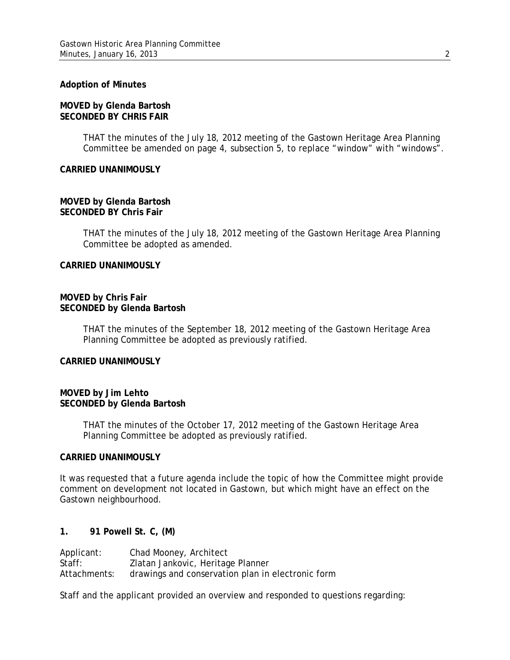# **Adoption of Minutes**

# **MOVED by Glenda Bartosh SECONDED BY CHRIS FAIR**

THAT the minutes of the July 18, 2012 meeting of the Gastown Heritage Area Planning Committee be amended on page 4, subsection 5, to replace "window" with "windows".

### **CARRIED UNANIMOUSLY**

### **MOVED by Glenda Bartosh SECONDED BY Chris Fair**

THAT the minutes of the July 18, 2012 meeting of the Gastown Heritage Area Planning Committee be adopted as amended.

### **CARRIED UNANIMOUSLY**

#### **MOVED by Chris Fair SECONDED by Glenda Bartosh**

THAT the minutes of the September 18, 2012 meeting of the Gastown Heritage Area Planning Committee be adopted as previously ratified.

#### **CARRIED UNANIMOUSLY**

# **MOVED by Jim Lehto SECONDED by Glenda Bartosh**

THAT the minutes of the October 17, 2012 meeting of the Gastown Heritage Area Planning Committee be adopted as previously ratified.

#### **CARRIED UNANIMOUSLY**

It was requested that a future agenda include the topic of how the Committee might provide comment on development not located in Gastown, but which might have an effect on the Gastown neighbourhood.

# **1. 91 Powell St. C, (M)**

| Applicant:   | Chad Mooney, Architect                            |
|--------------|---------------------------------------------------|
| Staff:       | Zlatan Jankovic, Heritage Planner                 |
| Attachments: | drawings and conservation plan in electronic form |

Staff and the applicant provided an overview and responded to questions regarding: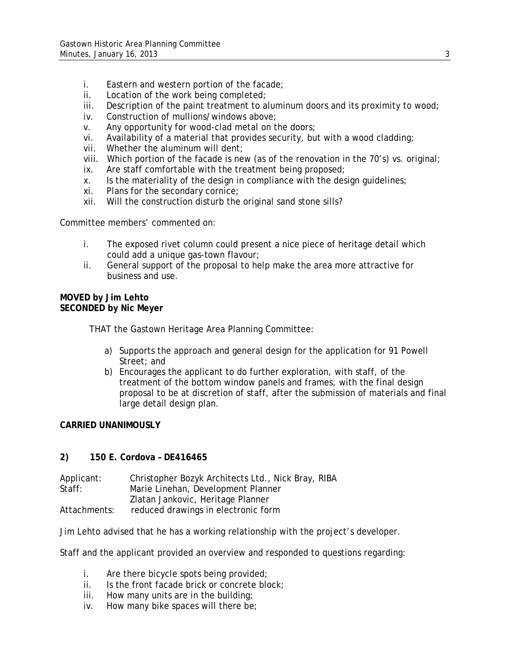- i. Eastern and western portion of the facade;
- ii. Location of the work being completed;
- iii. Description of the paint treatment to aluminum doors and its proximity to wood;
- iv. Construction of mullions/windows above;
- v. Any opportunity for wood-clad metal on the doors;
- vi. Availability of a material that provides security, but with a wood cladding;
- vii. Whether the aluminum will dent;
- viii. Which portion of the facade is new (as of the renovation in the 70's) vs. original;
- ix. Are staff comfortable with the treatment being proposed;
- x. Is the materiality of the design in compliance with the design guidelines;
- xi. Plans for the secondary cornice;
- xii. Will the construction disturb the original sand stone sills?

Committee members' commented on:

- i. The exposed rivet column could present a nice piece of heritage detail which could add a unique gas-town flavour;
- ii. General support of the proposal to help make the area more attractive for business and use.

# **MOVED by Jim Lehto SECONDED by Nic Meyer**

THAT the Gastown Heritage Area Planning Committee:

- a) Supports the approach and general design for the application for 91 Powell Street: and
- b) Encourages the applicant to do further exploration, with staff, of the treatment of the bottom window panels and frames, with the final design proposal to be at discretion of staff, after the submission of materials and final large detail design plan.

# **CARRIED UNANIMOUSLY**

# **2) 150 E. Cordova – DE416465**

| Applicant:   | Christopher Bozyk Architects Ltd., Nick Bray, RIBA |
|--------------|----------------------------------------------------|
| Staff:       | Marie Linehan, Development Planner                 |
|              | Zlatan Jankovic, Heritage Planner                  |
| Attachments: | reduced drawings in electronic form                |

Jim Lehto advised that he has a working relationship with the project's developer.

Staff and the applicant provided an overview and responded to questions regarding:

- i. Are there bicycle spots being provided;
- ii. Is the front facade brick or concrete block;
- iii. How many units are in the building;
- iv. How many bike spaces will there be;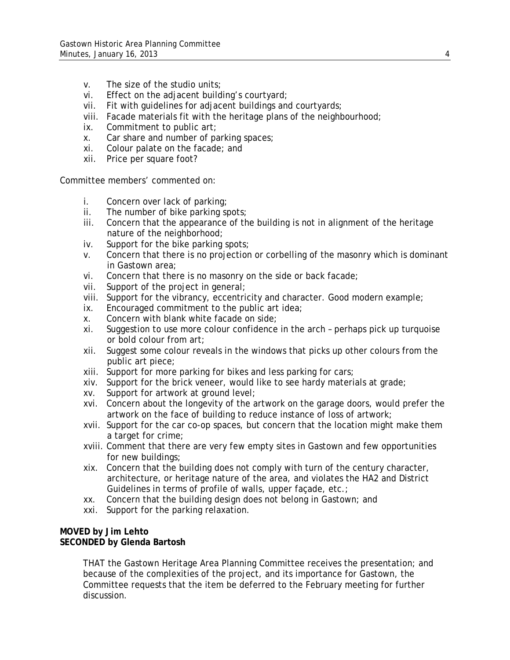- v. The size of the studio units;
- vi. Effect on the adjacent building's courtyard;
- vii. Fit with guidelines for adjacent buildings and courtyards;
- viii. Facade materials fit with the heritage plans of the neighbourhood;
- ix. Commitment to public art;
- x. Car share and number of parking spaces;
- xi. Colour palate on the facade; and
- xii. Price per square foot?

Committee members' commented on:

- i. Concern over lack of parking;
- ii. The number of bike parking spots;
- iii. Concern that the appearance of the building is not in alignment of the heritage nature of the neighborhood;
- iv. Support for the bike parking spots;
- v. Concern that there is no projection or corbelling of the masonry which is dominant in Gastown area;
- vi. Concern that there is no masonry on the side or back facade;
- vii. Support of the project in general;
- viii. Support for the vibrancy, eccentricity and character. Good modern example;
- ix. Encouraged commitment to the public art idea;
- x. Concern with blank white facade on side;
- xi. Suggestion to use more colour confidence in the arch perhaps pick up turquoise or bold colour from art;
- xii. Suggest some colour reveals in the windows that picks up other colours from the public art piece;
- xiii. Support for more parking for bikes and less parking for cars;
- xiv. Support for the brick veneer, would like to see hardy materials at grade;
- xv. Support for artwork at ground level;
- xvi. Concern about the longevity of the artwork on the garage doors, would prefer the artwork on the face of building to reduce instance of loss of artwork;
- xvii. Support for the car co-op spaces, but concern that the location might make them a target for crime;
- xviii. Comment that there are very few empty sites in Gastown and few opportunities for new buildings;
- xix. Concern that the building does not comply with turn of the century character, architecture, or heritage nature of the area, and violates the HA2 and District Guidelines in terms of profile of walls, upper façade, etc.;
- xx. Concern that the building design does not belong in Gastown; and
- xxi. Support for the parking relaxation.

### **MOVED by Jim Lehto SECONDED by Glenda Bartosh**

THAT the Gastown Heritage Area Planning Committee receives the presentation; and because of the complexities of the project, and its importance for Gastown, the Committee requests that the item be deferred to the February meeting for further discussion.